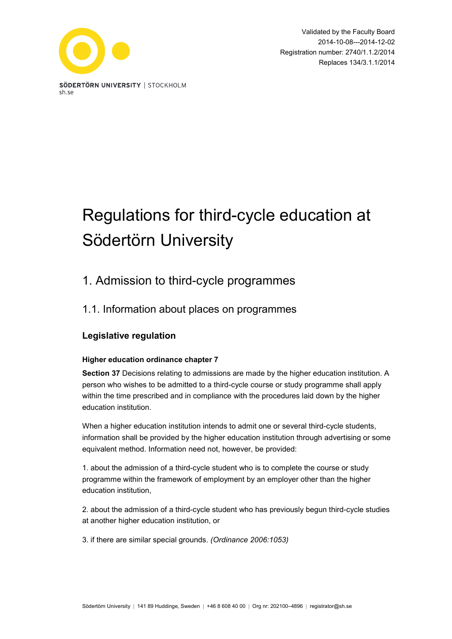

Validated by the Faculty Board 2014-10-08---2014-12-02 Registration number: 2740/1.1.2/2014 Replaces 134/3.1.1/2014

# Regulations for third-cycle education at Södertörn University

# 1. Admission to third-cycle programmes

# 1.1. Information about places on programmes

# **Legislative regulation**

### **Higher education ordinance chapter 7**

**Section 37** Decisions relating to admissions are made by the higher education institution. A person who wishes to be admitted to a third-cycle course or study programme shall apply within the time prescribed and in compliance with the procedures laid down by the higher education institution.

When a higher education institution intends to admit one or several third-cycle students, information shall be provided by the higher education institution through advertising or some equivalent method. Information need not, however, be provided:

1. about the admission of a third-cycle student who is to complete the course or study programme within the framework of employment by an employer other than the higher education institution,

2. about the admission of a third-cycle student who has previously begun third-cycle studies at another higher education institution, or

3. if there are similar special grounds. *(Ordinance 2006:1053)*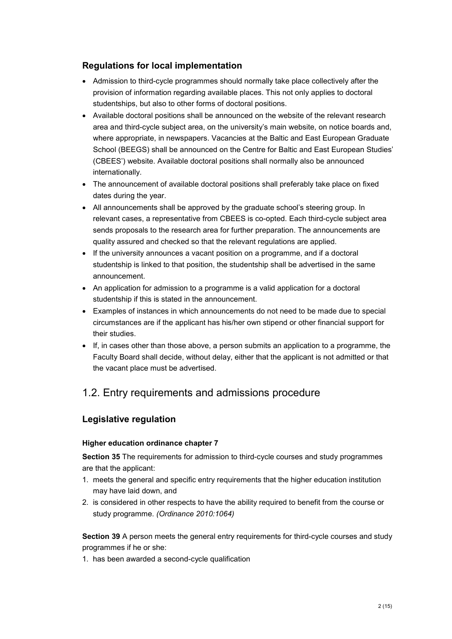### **Regulations for local implementation**

- Admission to third-cycle programmes should normally take place collectively after the provision of information regarding available places. This not only applies to doctoral studentships, but also to other forms of doctoral positions.
- Available doctoral positions shall be announced on the website of the relevant research area and third-cycle subject area, on the university's main website, on notice boards and, where appropriate, in newspapers. Vacancies at the Baltic and East European Graduate School (BEEGS) shall be announced on the Centre for Baltic and East European Studies' (CBEES') website. Available doctoral positions shall normally also be announced internationally.
- The announcement of available doctoral positions shall preferably take place on fixed dates during the year.
- All announcements shall be approved by the graduate school's steering group. In relevant cases, a representative from CBEES is co-opted. Each third-cycle subject area sends proposals to the research area for further preparation. The announcements are quality assured and checked so that the relevant regulations are applied.
- If the university announces a vacant position on a programme, and if a doctoral studentship is linked to that position, the studentship shall be advertised in the same announcement.
- An application for admission to a programme is a valid application for a doctoral studentship if this is stated in the announcement.
- Examples of instances in which announcements do not need to be made due to special circumstances are if the applicant has his/her own stipend or other financial support for their studies.
- If, in cases other than those above, a person submits an application to a programme, the Faculty Board shall decide, without delay, either that the applicant is not admitted or that the vacant place must be advertised.

# 1.2. Entry requirements and admissions procedure

### **Legislative regulation**

### **Higher education ordinance chapter 7**

**Section 35** The requirements for admission to third-cycle courses and study programmes are that the applicant:

- 1. meets the general and specific entry requirements that the higher education institution may have laid down, and
- 2. is considered in other respects to have the ability required to benefit from the course or study programme. *(Ordinance 2010:1064)*

**Section 39** A person meets the general entry requirements for third-cycle courses and study programmes if he or she:

1. has been awarded a second-cycle qualification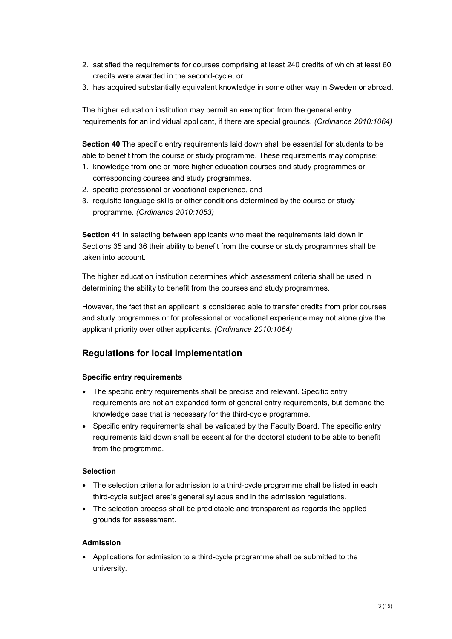- 2. satisfied the requirements for courses comprising at least 240 credits of which at least 60 credits were awarded in the second-cycle, or
- 3. has acquired substantially equivalent knowledge in some other way in Sweden or abroad.

The higher education institution may permit an exemption from the general entry requirements for an individual applicant, if there are special grounds*. (Ordinance 2010:1064)*

**Section 40** The specific entry requirements laid down shall be essential for students to be able to benefit from the course or study programme. These requirements may comprise:

- 1. knowledge from one or more higher education courses and study programmes or corresponding courses and study programmes,
- 2. specific professional or vocational experience, and
- 3. requisite language skills or other conditions determined by the course or study programme. *(Ordinance 2010:1053)*

**Section 41** In selecting between applicants who meet the requirements laid down in Sections 35 and 36 their ability to benefit from the course or study programmes shall be taken into account.

The higher education institution determines which assessment criteria shall be used in determining the ability to benefit from the courses and study programmes.

However, the fact that an applicant is considered able to transfer credits from prior courses and study programmes or for professional or vocational experience may not alone give the applicant priority over other applicants. *(Ordinance 2010:1064)*

### **Regulations for local implementation**

#### **Specific entry requirements**

- The specific entry requirements shall be precise and relevant. Specific entry requirements are not an expanded form of general entry requirements, but demand the knowledge base that is necessary for the third-cycle programme.
- Specific entry requirements shall be validated by the Faculty Board. The specific entry requirements laid down shall be essential for the doctoral student to be able to benefit from the programme.

### **Selection**

- The selection criteria for admission to a third-cycle programme shall be listed in each third-cycle subject area's general syllabus and in the admission regulations.
- The selection process shall be predictable and transparent as regards the applied grounds for assessment.

#### **Admission**

• Applications for admission to a third-cycle programme shall be submitted to the university.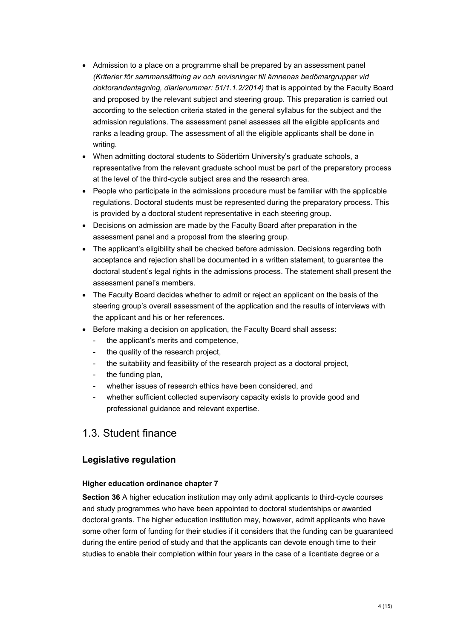- Admission to a place on a programme shall be prepared by an assessment panel *(Kriterier för sammansättning av och anvisningar till ämnenas bedömargrupper vid doktorandantagning, diarienummer: 51/1.1.2/2014)* that is appointed by the Faculty Board and proposed by the relevant subject and steering group. This preparation is carried out according to the selection criteria stated in the general syllabus for the subject and the admission regulations. The assessment panel assesses all the eligible applicants and ranks a leading group. The assessment of all the eligible applicants shall be done in writing.
- When admitting doctoral students to Södertörn University's graduate schools, a representative from the relevant graduate school must be part of the preparatory process at the level of the third-cycle subject area and the research area.
- People who participate in the admissions procedure must be familiar with the applicable regulations. Doctoral students must be represented during the preparatory process. This is provided by a doctoral student representative in each steering group.
- Decisions on admission are made by the Faculty Board after preparation in the assessment panel and a proposal from the steering group.
- The applicant's eligibility shall be checked before admission. Decisions regarding both acceptance and rejection shall be documented in a written statement, to guarantee the doctoral student's legal rights in the admissions process. The statement shall present the assessment panel's members.
- The Faculty Board decides whether to admit or reject an applicant on the basis of the steering group's overall assessment of the application and the results of interviews with the applicant and his or her references.
- Before making a decision on application, the Faculty Board shall assess:
	- the applicant's merits and competence.
	- the quality of the research project,
	- the suitability and feasibility of the research project as a doctoral project,
	- the funding plan,
	- whether issues of research ethics have been considered, and
	- whether sufficient collected supervisory capacity exists to provide good and professional guidance and relevant expertise.

# 1.3. Student finance

### **Legislative regulation**

#### **Higher education ordinance chapter 7**

**Section 36** A higher education institution may only admit applicants to third-cycle courses and study programmes who have been appointed to doctoral studentships or awarded doctoral grants. The higher education institution may, however, admit applicants who have some other form of funding for their studies if it considers that the funding can be guaranteed during the entire period of study and that the applicants can devote enough time to their studies to enable their completion within four years in the case of a licentiate degree or a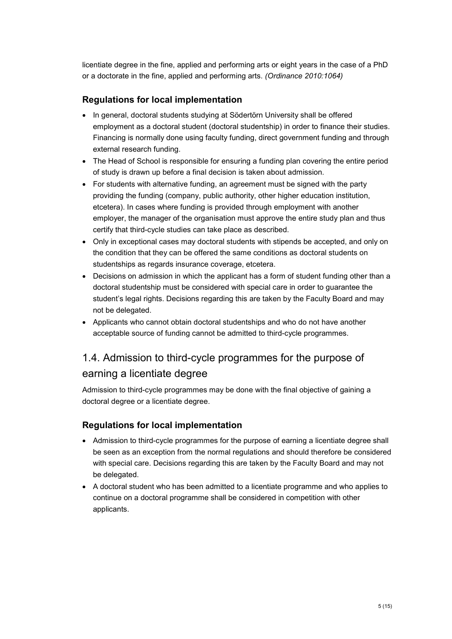licentiate degree in the fine, applied and performing arts or eight years in the case of a PhD or a doctorate in the fine, applied and performing arts. *(Ordinance 2010:1064)*

### **Regulations for local implementation**

- In general, doctoral students studying at Södertörn University shall be offered employment as a doctoral student (doctoral studentship) in order to finance their studies. Financing is normally done using faculty funding, direct government funding and through external research funding.
- The Head of School is responsible for ensuring a funding plan covering the entire period of study is drawn up before a final decision is taken about admission.
- For students with alternative funding, an agreement must be signed with the party providing the funding (company, public authority, other higher education institution, etcetera). In cases where funding is provided through employment with another employer, the manager of the organisation must approve the entire study plan and thus certify that third-cycle studies can take place as described.
- Only in exceptional cases may doctoral students with stipends be accepted, and only on the condition that they can be offered the same conditions as doctoral students on studentships as regards insurance coverage, etcetera.
- Decisions on admission in which the applicant has a form of student funding other than a doctoral studentship must be considered with special care in order to guarantee the student's legal rights. Decisions regarding this are taken by the Faculty Board and may not be delegated.
- Applicants who cannot obtain doctoral studentships and who do not have another acceptable source of funding cannot be admitted to third-cycle programmes.

# 1.4. Admission to third-cycle programmes for the purpose of earning a licentiate degree

Admission to third-cycle programmes may be done with the final objective of gaining a doctoral degree or a licentiate degree.

### **Regulations for local implementation**

- Admission to third-cycle programmes for the purpose of earning a licentiate degree shall be seen as an exception from the normal regulations and should therefore be considered with special care. Decisions regarding this are taken by the Faculty Board and may not be delegated.
- A doctoral student who has been admitted to a licentiate programme and who applies to continue on a doctoral programme shall be considered in competition with other applicants.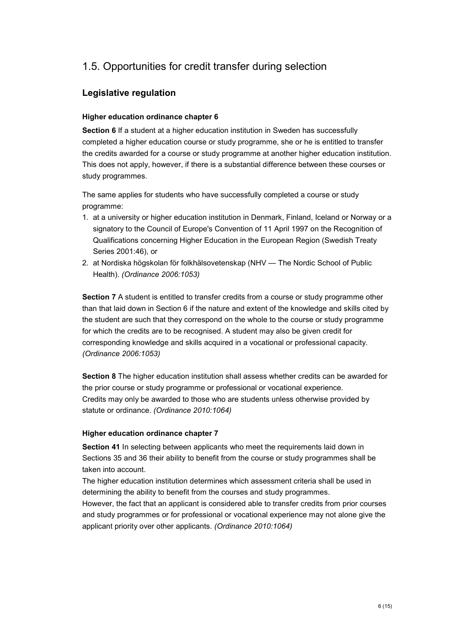# 1.5. Opportunities for credit transfer during selection

### **Legislative regulation**

### **Higher education ordinance chapter 6**

**Section 6** If a student at a higher education institution in Sweden has successfully completed a higher education course or study programme, she or he is entitled to transfer the credits awarded for a course or study programme at another higher education institution. This does not apply, however, if there is a substantial difference between these courses or study programmes.

The same applies for students who have successfully completed a course or study programme:

- 1. at a university or higher education institution in Denmark, Finland, Iceland or Norway or a signatory to the Council of Europe's Convention of 11 April 1997 on the Recognition of Qualifications concerning Higher Education in the European Region (Swedish Treaty Series 2001:46), or
- 2. at Nordiska högskolan för folkhälsovetenskap (NHV The Nordic School of Public Health). *(Ordinance 2006:1053)*

**Section 7** A student is entitled to transfer credits from a course or study programme other than that laid down in Section 6 if the nature and extent of the knowledge and skills cited by the student are such that they correspond on the whole to the course or study programme for which the credits are to be recognised. A student may also be given credit for corresponding knowledge and skills acquired in a vocational or professional capacity. *(Ordinance 2006:1053)*

**Section 8** The higher education institution shall assess whether credits can be awarded for the prior course or study programme or professional or vocational experience. Credits may only be awarded to those who are students unless otherwise provided by statute or ordinance. *(Ordinance 2010:1064)*

#### **Higher education ordinance chapter 7**

**Section 41** In selecting between applicants who meet the requirements laid down in Sections 35 and 36 their ability to benefit from the course or study programmes shall be taken into account.

The higher education institution determines which assessment criteria shall be used in determining the ability to benefit from the courses and study programmes.

However, the fact that an applicant is considered able to transfer credits from prior courses and study programmes or for professional or vocational experience may not alone give the applicant priority over other applicants. *(Ordinance 2010:1064)*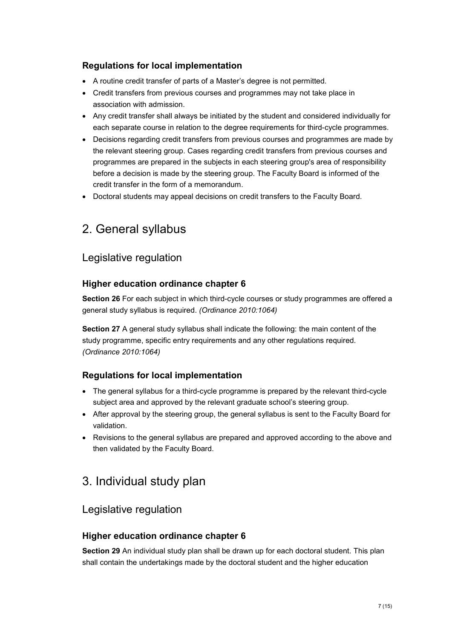# **Regulations for local implementation**

- A routine credit transfer of parts of a Master's degree is not permitted.
- Credit transfers from previous courses and programmes may not take place in association with admission.
- Any credit transfer shall always be initiated by the student and considered individually for each separate course in relation to the degree requirements for third-cycle programmes.
- Decisions regarding credit transfers from previous courses and programmes are made by the relevant steering group. Cases regarding credit transfers from previous courses and programmes are prepared in the subjects in each steering group's area of responsibility before a decision is made by the steering group. The Faculty Board is informed of the credit transfer in the form of a memorandum.
- Doctoral students may appeal decisions on credit transfers to the Faculty Board.

# 2. General syllabus

# Legislative regulation

### **Higher education ordinance chapter 6**

**Section 26** For each subject in which third-cycle courses or study programmes are offered a general study syllabus is required. *(Ordinance 2010:1064)*

**Section 27** A general study syllabus shall indicate the following: the main content of the study programme, specific entry requirements and any other regulations required. *(Ordinance 2010:1064)*

# **Regulations for local implementation**

- The general syllabus for a third-cycle programme is prepared by the relevant third-cycle subject area and approved by the relevant graduate school's steering group.
- After approval by the steering group, the general syllabus is sent to the Faculty Board for validation.
- Revisions to the general syllabus are prepared and approved according to the above and then validated by the Faculty Board.

# 3. Individual study plan

# Legislative regulation

# **Higher education ordinance chapter 6**

**Section 29** An individual study plan shall be drawn up for each doctoral student. This plan shall contain the undertakings made by the doctoral student and the higher education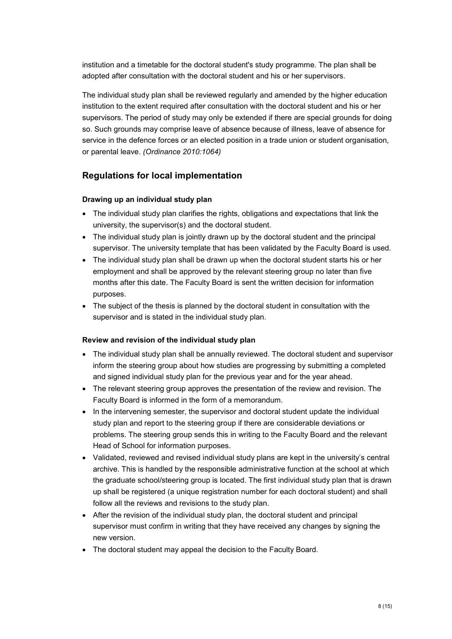institution and a timetable for the doctoral student's study programme. The plan shall be adopted after consultation with the doctoral student and his or her supervisors.

The individual study plan shall be reviewed regularly and amended by the higher education institution to the extent required after consultation with the doctoral student and his or her supervisors. The period of study may only be extended if there are special grounds for doing so. Such grounds may comprise leave of absence because of illness, leave of absence for service in the defence forces or an elected position in a trade union or student organisation, or parental leave. *(Ordinance 2010:1064)*

### **Regulations for local implementation**

#### **Drawing up an individual study plan**

- The individual study plan clarifies the rights, obligations and expectations that link the university, the supervisor(s) and the doctoral student.
- The individual study plan is jointly drawn up by the doctoral student and the principal supervisor. The university template that has been validated by the Faculty Board is used.
- The individual study plan shall be drawn up when the doctoral student starts his or her employment and shall be approved by the relevant steering group no later than five months after this date. The Faculty Board is sent the written decision for information purposes.
- The subject of the thesis is planned by the doctoral student in consultation with the supervisor and is stated in the individual study plan.

#### **Review and revision of the individual study plan**

- The individual study plan shall be annually reviewed. The doctoral student and supervisor inform the steering group about how studies are progressing by submitting a completed and signed individual study plan for the previous year and for the year ahead.
- The relevant steering group approves the presentation of the review and revision. The Faculty Board is informed in the form of a memorandum.
- In the intervening semester, the supervisor and doctoral student update the individual study plan and report to the steering group if there are considerable deviations or problems. The steering group sends this in writing to the Faculty Board and the relevant Head of School for information purposes.
- Validated, reviewed and revised individual study plans are kept in the university's central archive. This is handled by the responsible administrative function at the school at which the graduate school/steering group is located. The first individual study plan that is drawn up shall be registered (a unique registration number for each doctoral student) and shall follow all the reviews and revisions to the study plan.
- After the revision of the individual study plan, the doctoral student and principal supervisor must confirm in writing that they have received any changes by signing the new version.
- The doctoral student may appeal the decision to the Faculty Board.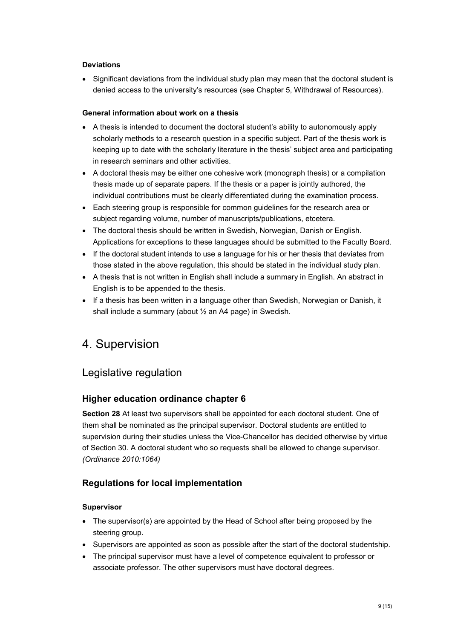### **Deviations**

• Significant deviations from the individual study plan may mean that the doctoral student is denied access to the university's resources (see Chapter 5, Withdrawal of Resources).

#### **General information about work on a thesis**

- A thesis is intended to document the doctoral student's ability to autonomously apply scholarly methods to a research question in a specific subject. Part of the thesis work is keeping up to date with the scholarly literature in the thesis' subject area and participating in research seminars and other activities.
- A doctoral thesis may be either one cohesive work (monograph thesis) or a compilation thesis made up of separate papers. If the thesis or a paper is jointly authored, the individual contributions must be clearly differentiated during the examination process.
- Each steering group is responsible for common guidelines for the research area or subject regarding volume, number of manuscripts/publications, etcetera.
- The doctoral thesis should be written in Swedish, Norwegian, Danish or English. Applications for exceptions to these languages should be submitted to the Faculty Board.
- If the doctoral student intends to use a language for his or her thesis that deviates from those stated in the above regulation, this should be stated in the individual study plan.
- A thesis that is not written in English shall include a summary in English. An abstract in English is to be appended to the thesis.
- If a thesis has been written in a language other than Swedish, Norwegian or Danish, it shall include a summary (about ½ an A4 page) in Swedish.

# 4. Supervision

# Legislative regulation

# **Higher education ordinance chapter 6**

**Section 28** At least two supervisors shall be appointed for each doctoral student. One of them shall be nominated as the principal supervisor. Doctoral students are entitled to supervision during their studies unless the Vice-Chancellor has decided otherwise by virtue of Section 30. A doctoral student who so requests shall be allowed to change supervisor. *(Ordinance 2010:1064)*

### **Regulations for local implementation**

### **Supervisor**

- The supervisor(s) are appointed by the Head of School after being proposed by the steering group.
- Supervisors are appointed as soon as possible after the start of the doctoral studentship.
- The principal supervisor must have a level of competence equivalent to professor or associate professor. The other supervisors must have doctoral degrees.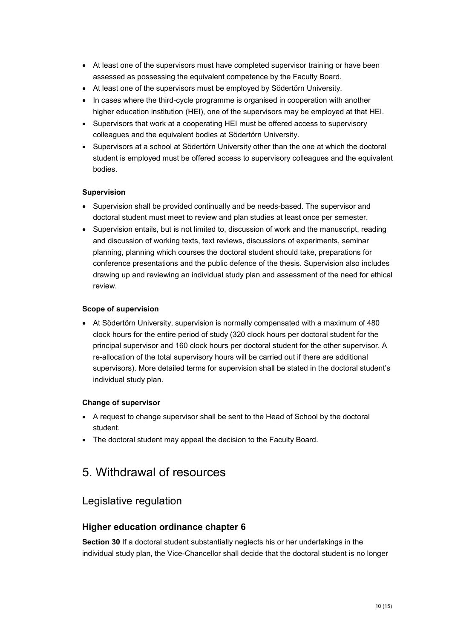- At least one of the supervisors must have completed supervisor training or have been assessed as possessing the equivalent competence by the Faculty Board.
- At least one of the supervisors must be employed by Södertörn University.
- In cases where the third-cycle programme is organised in cooperation with another higher education institution (HEI), one of the supervisors may be employed at that HEI.
- Supervisors that work at a cooperating HEI must be offered access to supervisory colleagues and the equivalent bodies at Södertörn University.
- Supervisors at a school at Södertörn University other than the one at which the doctoral student is employed must be offered access to supervisory colleagues and the equivalent bodies.

#### **Supervision**

- Supervision shall be provided continually and be needs-based. The supervisor and doctoral student must meet to review and plan studies at least once per semester.
- Supervision entails, but is not limited to, discussion of work and the manuscript, reading and discussion of working texts, text reviews, discussions of experiments, seminar planning, planning which courses the doctoral student should take, preparations for conference presentations and the public defence of the thesis. Supervision also includes drawing up and reviewing an individual study plan and assessment of the need for ethical review.

#### **Scope of supervision**

• At Södertörn University, supervision is normally compensated with a maximum of 480 clock hours for the entire period of study (320 clock hours per doctoral student for the principal supervisor and 160 clock hours per doctoral student for the other supervisor. A re-allocation of the total supervisory hours will be carried out if there are additional supervisors). More detailed terms for supervision shall be stated in the doctoral student's individual study plan.

### **Change of supervisor**

- A request to change supervisor shall be sent to the Head of School by the doctoral student.
- The doctoral student may appeal the decision to the Faculty Board.

# 5. Withdrawal of resources

# Legislative regulation

### **Higher education ordinance chapter 6**

**Section 30** If a doctoral student substantially neglects his or her undertakings in the individual study plan, the Vice-Chancellor shall decide that the doctoral student is no longer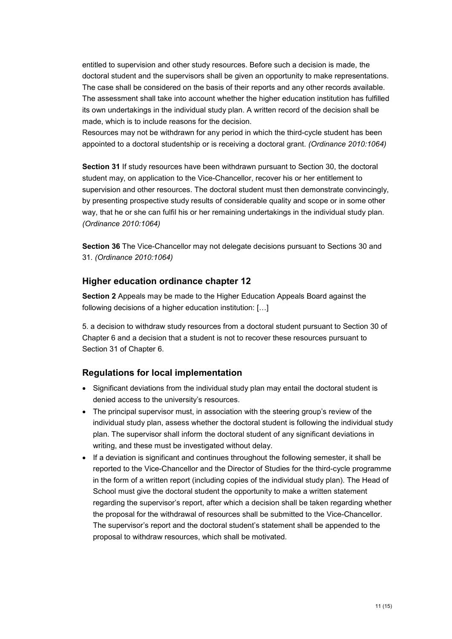entitled to supervision and other study resources. Before such a decision is made, the doctoral student and the supervisors shall be given an opportunity to make representations. The case shall be considered on the basis of their reports and any other records available. The assessment shall take into account whether the higher education institution has fulfilled its own undertakings in the individual study plan. A written record of the decision shall be made, which is to include reasons for the decision.

Resources may not be withdrawn for any period in which the third-cycle student has been appointed to a doctoral studentship or is receiving a doctoral grant. *(Ordinance 2010:1064)*

**Section 31** If study resources have been withdrawn pursuant to Section 30, the doctoral student may, on application to the Vice-Chancellor, recover his or her entitlement to supervision and other resources. The doctoral student must then demonstrate convincingly, by presenting prospective study results of considerable quality and scope or in some other way, that he or she can fulfil his or her remaining undertakings in the individual study plan. *(Ordinance 2010:1064)*

**Section 36** The Vice-Chancellor may not delegate decisions pursuant to Sections 30 and 31. *(Ordinance 2010:1064)*

### **Higher education ordinance chapter 12**

**Section 2** Appeals may be made to the Higher Education Appeals Board against the following decisions of a higher education institution: […]

5. a decision to withdraw study resources from a doctoral student pursuant to Section 30 of Chapter 6 and a decision that a student is not to recover these resources pursuant to Section 31 of Chapter 6.

#### **Regulations for local implementation**

- Significant deviations from the individual study plan may entail the doctoral student is denied access to the university's resources.
- The principal supervisor must, in association with the steering group's review of the individual study plan, assess whether the doctoral student is following the individual study plan. The supervisor shall inform the doctoral student of any significant deviations in writing, and these must be investigated without delay.
- If a deviation is significant and continues throughout the following semester, it shall be reported to the Vice-Chancellor and the Director of Studies for the third-cycle programme in the form of a written report (including copies of the individual study plan). The Head of School must give the doctoral student the opportunity to make a written statement regarding the supervisor's report, after which a decision shall be taken regarding whether the proposal for the withdrawal of resources shall be submitted to the Vice-Chancellor. The supervisor's report and the doctoral student's statement shall be appended to the proposal to withdraw resources, which shall be motivated.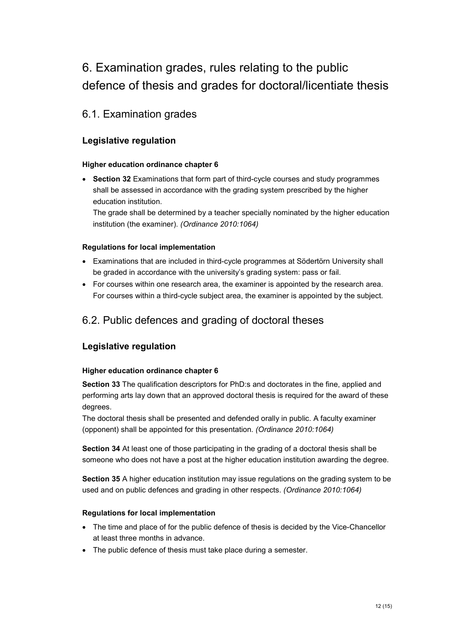# 6. Examination grades, rules relating to the public defence of thesis and grades for doctoral/licentiate thesis

# 6.1. Examination grades

### **Legislative regulation**

### **Higher education ordinance chapter 6**

• **Section 32** Examinations that form part of third-cycle courses and study programmes shall be assessed in accordance with the grading system prescribed by the higher education institution.

The grade shall be determined by a teacher specially nominated by the higher education institution (the examiner). *(Ordinance 2010:1064)*

### **Regulations for local implementation**

- Examinations that are included in third-cycle programmes at Södertörn University shall be graded in accordance with the university's grading system: pass or fail.
- For courses within one research area, the examiner is appointed by the research area. For courses within a third-cycle subject area, the examiner is appointed by the subject.

# 6.2. Public defences and grading of doctoral theses

### **Legislative regulation**

### **Higher education ordinance chapter 6**

**Section 33** The qualification descriptors for PhD:s and doctorates in the fine, applied and performing arts lay down that an approved doctoral thesis is required for the award of these degrees.

The doctoral thesis shall be presented and defended orally in public. A faculty examiner (opponent) shall be appointed for this presentation. *(Ordinance 2010:1064)*

**Section 34** At least one of those participating in the grading of a doctoral thesis shall be someone who does not have a post at the higher education institution awarding the degree.

**Section 35** A higher education institution may issue regulations on the grading system to be used and on public defences and grading in other respects. *(Ordinance 2010:1064)*

### **Regulations for local implementation**

- The time and place of for the public defence of thesis is decided by the Vice-Chancellor at least three months in advance.
- The public defence of thesis must take place during a semester.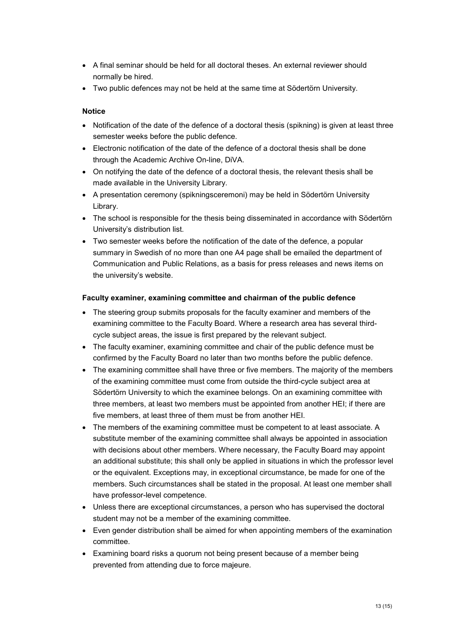- A final seminar should be held for all doctoral theses. An external reviewer should normally be hired.
- Two public defences may not be held at the same time at Södertörn University.

### **Notice**

- Notification of the date of the defence of a doctoral thesis (spikning) is given at least three semester weeks before the public defence.
- Electronic notification of the date of the defence of a doctoral thesis shall be done through the Academic Archive On-line, DiVA.
- On notifying the date of the defence of a doctoral thesis, the relevant thesis shall be made available in the University Library.
- A presentation ceremony (spikningsceremoni) may be held in Södertörn University Library.
- The school is responsible for the thesis being disseminated in accordance with Södertörn University's distribution list.
- Two semester weeks before the notification of the date of the defence, a popular summary in Swedish of no more than one A4 page shall be emailed the department of Communication and Public Relations, as a basis for press releases and news items on the university's website.

#### **Faculty examiner, examining committee and chairman of the public defence**

- The steering group submits proposals for the faculty examiner and members of the examining committee to the Faculty Board. Where a research area has several thirdcycle subject areas, the issue is first prepared by the relevant subject.
- The faculty examiner, examining committee and chair of the public defence must be confirmed by the Faculty Board no later than two months before the public defence.
- The examining committee shall have three or five members. The majority of the members of the examining committee must come from outside the third-cycle subject area at Södertörn University to which the examinee belongs. On an examining committee with three members, at least two members must be appointed from another HEI; if there are five members, at least three of them must be from another HEI.
- The members of the examining committee must be competent to at least associate. A substitute member of the examining committee shall always be appointed in association with decisions about other members. Where necessary, the Faculty Board may appoint an additional substitute; this shall only be applied in situations in which the professor level or the equivalent. Exceptions may, in exceptional circumstance, be made for one of the members. Such circumstances shall be stated in the proposal. At least one member shall have professor-level competence.
- Unless there are exceptional circumstances, a person who has supervised the doctoral student may not be a member of the examining committee.
- Even gender distribution shall be aimed for when appointing members of the examination committee.
- Examining board risks a quorum not being present because of a member being prevented from attending due to force majeure.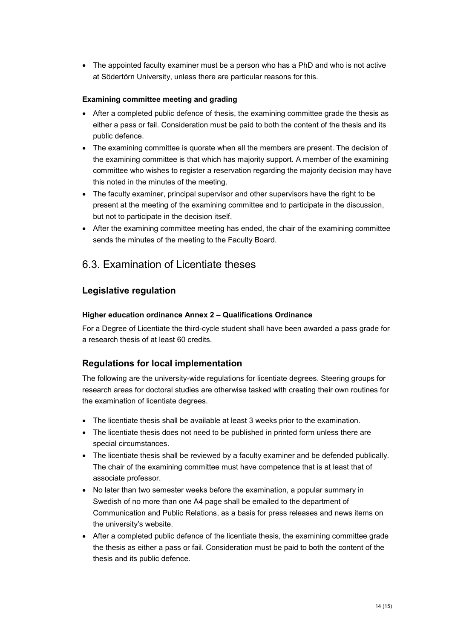• The appointed faculty examiner must be a person who has a PhD and who is not active at Södertörn University, unless there are particular reasons for this.

### **Examining committee meeting and grading**

- After a completed public defence of thesis, the examining committee grade the thesis as either a pass or fail. Consideration must be paid to both the content of the thesis and its public defence.
- The examining committee is quorate when all the members are present. The decision of the examining committee is that which has majority support. A member of the examining committee who wishes to register a reservation regarding the majority decision may have this noted in the minutes of the meeting.
- The faculty examiner, principal supervisor and other supervisors have the right to be present at the meeting of the examining committee and to participate in the discussion, but not to participate in the decision itself.
- After the examining committee meeting has ended, the chair of the examining committee sends the minutes of the meeting to the Faculty Board.

# 6.3. Examination of Licentiate theses

### **Legislative regulation**

### **Higher education ordinance Annex 2 – Qualifications Ordinance**

For a Degree of Licentiate the third-cycle student shall have been awarded a pass grade for a research thesis of at least 60 credits.

### **Regulations for local implementation**

The following are the university-wide regulations for licentiate degrees. Steering groups for research areas for doctoral studies are otherwise tasked with creating their own routines for the examination of licentiate degrees.

- The licentiate thesis shall be available at least 3 weeks prior to the examination.
- The licentiate thesis does not need to be published in printed form unless there are special circumstances.
- The licentiate thesis shall be reviewed by a faculty examiner and be defended publically. The chair of the examining committee must have competence that is at least that of associate professor.
- No later than two semester weeks before the examination, a popular summary in Swedish of no more than one A4 page shall be emailed to the department of Communication and Public Relations, as a basis for press releases and news items on the university's website.
- After a completed public defence of the licentiate thesis, the examining committee grade the thesis as either a pass or fail. Consideration must be paid to both the content of the thesis and its public defence.